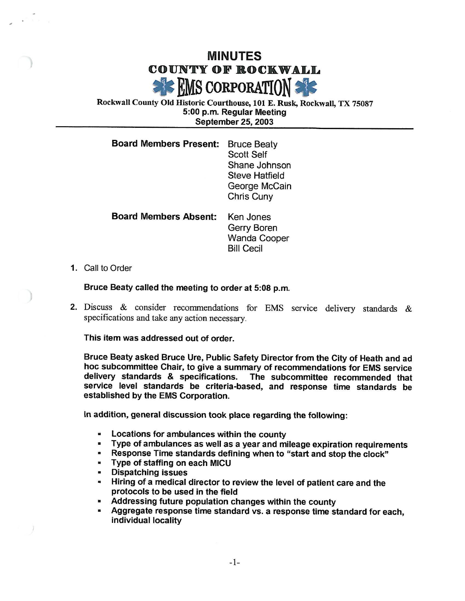## MINUTES COUNTY OF ROCKWALL  $\epsilon$  EMS corporation

Rockwall County Old Historic Courthouse, 101 E. Rusk, Rockwall, TX 75087 5: 00 p. m. Regular Meeting September 25, 2003

| <b>Board Members Present:</b> | <b>Bruce Beaty</b>    |
|-------------------------------|-----------------------|
|                               | <b>Scott Self</b>     |
|                               | Shane Johnson         |
|                               | <b>Steve Hatfield</b> |
|                               | George McCain         |
|                               | Chris Cuny            |
|                               |                       |

| <b>Board Members Absent:</b> | Ken Jones           |
|------------------------------|---------------------|
|                              | Gerry Boren         |
|                              | <b>Wanda Cooper</b> |
|                              | <b>Bill Cecil</b>   |

1. Call to Order

Bruce Beaty called the meeting to order at 5:08 p.m.

2. Discuss & consider recommendations for EMS service delivery standards & specifications and take any action necessary.

This item was addressed out of order.

Bruce Beaty asked Bruce Ure, Public Safety Director from the City of Heath and ad hoc subcommittee Chair, to give a summary of recommendations for EMS service delivery standards & specifications. The subcommittee recommended that service level standards be criteria-based, and response time standards be established by the EMS Corporation.

In addition, general discussion took place regarding the following:

- Locations for ambulances within the county  $\blacksquare$
- Type of ambulances as well as a year and mileage expiration requirements
- Response Time standards defining when to "start and stop the clock"
- Type of staffing on each MICU a.
- Dispatching issues  $\blacksquare$
- $\blacksquare$ Hiring of a medical director to review the level of patient care and the protocols to be used in the field
- Addressing future population changes within the county
- Aggregate response time standard vs. a response time standard for each, individual locality